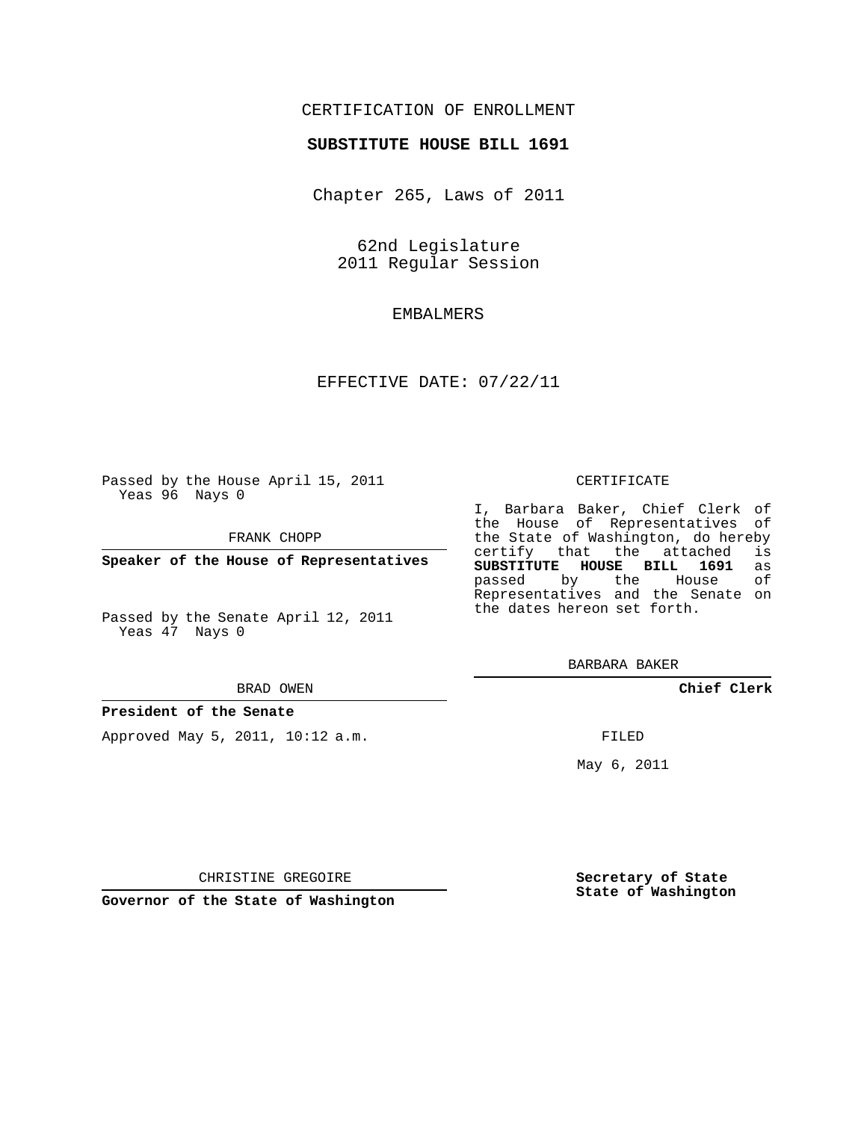# CERTIFICATION OF ENROLLMENT

## **SUBSTITUTE HOUSE BILL 1691**

Chapter 265, Laws of 2011

62nd Legislature 2011 Regular Session

# EMBALMERS

## EFFECTIVE DATE: 07/22/11

Passed by the House April 15, 2011 Yeas 96 Nays 0

FRANK CHOPP

**Speaker of the House of Representatives**

Passed by the Senate April 12, 2011 Yeas 47 Nays 0

#### BRAD OWEN

## **President of the Senate**

Approved May 5, 2011, 10:12 a.m.

### CERTIFICATE

I, Barbara Baker, Chief Clerk of the House of Representatives of the State of Washington, do hereby<br>certify that the attached is certify that the attached **SUBSTITUTE HOUSE BILL 1691** as passed by the Representatives and the Senate on the dates hereon set forth.

BARBARA BAKER

**Chief Clerk**

FILED

May 6, 2011

**Secretary of State State of Washington**

CHRISTINE GREGOIRE

**Governor of the State of Washington**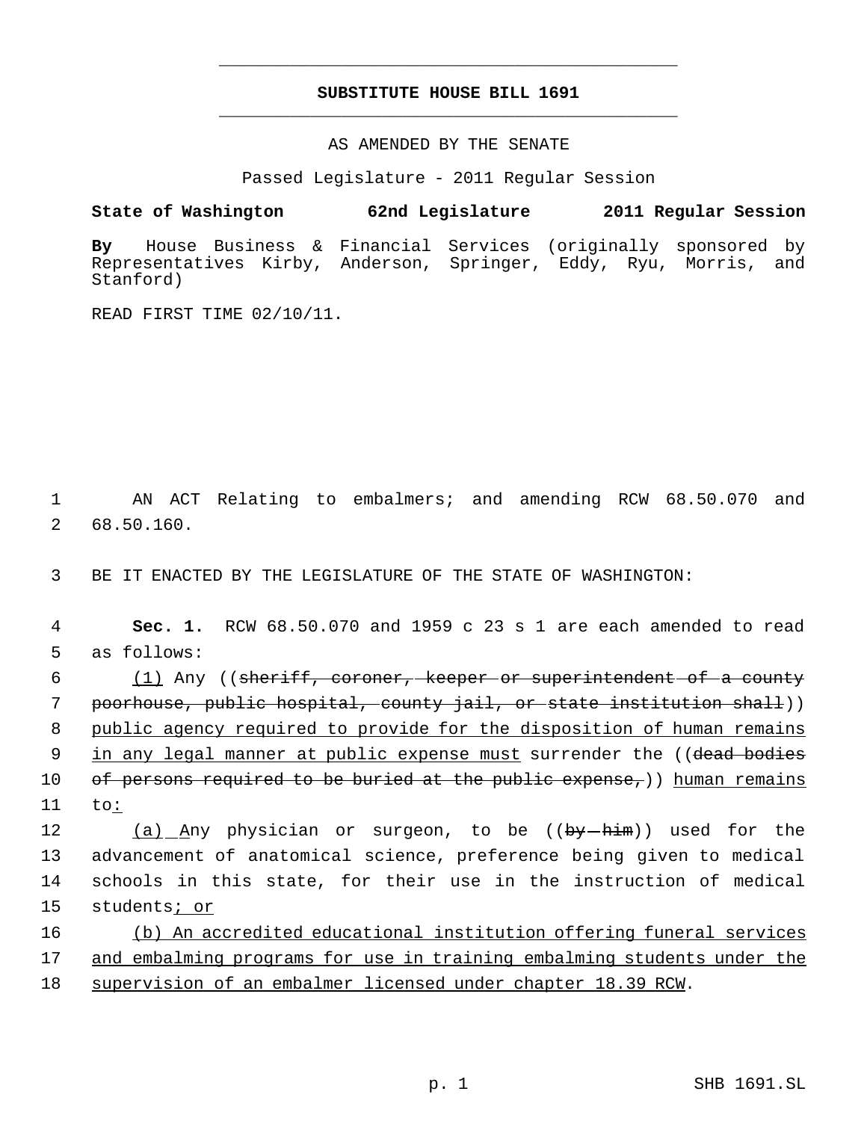# **SUBSTITUTE HOUSE BILL 1691** \_\_\_\_\_\_\_\_\_\_\_\_\_\_\_\_\_\_\_\_\_\_\_\_\_\_\_\_\_\_\_\_\_\_\_\_\_\_\_\_\_\_\_\_\_

\_\_\_\_\_\_\_\_\_\_\_\_\_\_\_\_\_\_\_\_\_\_\_\_\_\_\_\_\_\_\_\_\_\_\_\_\_\_\_\_\_\_\_\_\_

AS AMENDED BY THE SENATE

Passed Legislature - 2011 Regular Session

**State of Washington 62nd Legislature 2011 Regular Session**

**By** House Business & Financial Services (originally sponsored by Representatives Kirby, Anderson, Springer, Eddy, Ryu, Morris, and Stanford)

READ FIRST TIME 02/10/11.

 1 AN ACT Relating to embalmers; and amending RCW 68.50.070 and 2 68.50.160.

3 BE IT ENACTED BY THE LEGISLATURE OF THE STATE OF WASHINGTON:

 4 **Sec. 1.** RCW 68.50.070 and 1959 c 23 s 1 are each amended to read 5 as follows:

 6 (1) Any ((sheriff, coroner, keeper or superintendent of a county 7 poorhouse, public hospital, county jail, or state institution shall)) 8 public agency required to provide for the disposition of human remains 9 in any legal manner at public expense must surrender the ((dead bodies 10 of persons required to be buried at the public expense,)) human remains 11 to:

12 (a) Any physician or surgeon, to be ((by-him)) used for the advancement of anatomical science, preference being given to medical schools in this state, for their use in the instruction of medical students; or

16 (b) An accredited educational institution offering funeral services 17 and embalming programs for use in training embalming students under the 18 supervision of an embalmer licensed under chapter 18.39 RCW.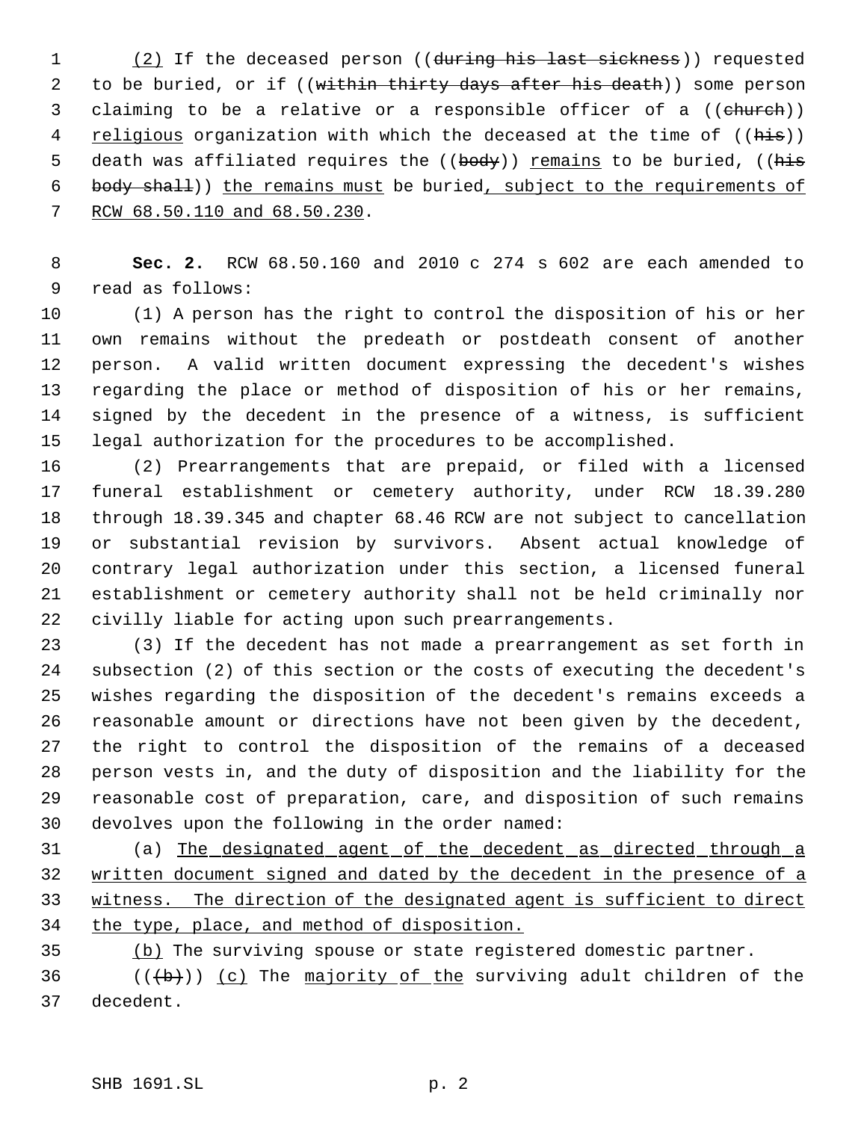1 (2) If the deceased person ((during his last sickness)) requested 2 to be buried, or if ((within thirty days after his death)) some person 3 claiming to be a relative or a responsible officer of a ((church)) 4 religious organization with which the deceased at the time of ((his)) 5 death was affiliated requires the ((body)) remains to be buried, ((his body shall)) the remains must be buried, subject to the requirements of RCW 68.50.110 and 68.50.230.

 **Sec. 2.** RCW 68.50.160 and 2010 c 274 s 602 are each amended to read as follows:

 (1) A person has the right to control the disposition of his or her own remains without the predeath or postdeath consent of another person. A valid written document expressing the decedent's wishes regarding the place or method of disposition of his or her remains, signed by the decedent in the presence of a witness, is sufficient legal authorization for the procedures to be accomplished.

 (2) Prearrangements that are prepaid, or filed with a licensed funeral establishment or cemetery authority, under RCW 18.39.280 through 18.39.345 and chapter 68.46 RCW are not subject to cancellation or substantial revision by survivors. Absent actual knowledge of contrary legal authorization under this section, a licensed funeral establishment or cemetery authority shall not be held criminally nor civilly liable for acting upon such prearrangements.

 (3) If the decedent has not made a prearrangement as set forth in subsection (2) of this section or the costs of executing the decedent's wishes regarding the disposition of the decedent's remains exceeds a reasonable amount or directions have not been given by the decedent, the right to control the disposition of the remains of a deceased person vests in, and the duty of disposition and the liability for the reasonable cost of preparation, care, and disposition of such remains devolves upon the following in the order named:

 (a) The designated agent of the decedent as directed through a written document signed and dated by the decedent in the presence of a witness. The direction of the designated agent is sufficient to direct 34 the type, place, and method of disposition.

(b) The surviving spouse or state registered domestic partner.

36  $((+b))$  (c) The majority of the surviving adult children of the decedent.